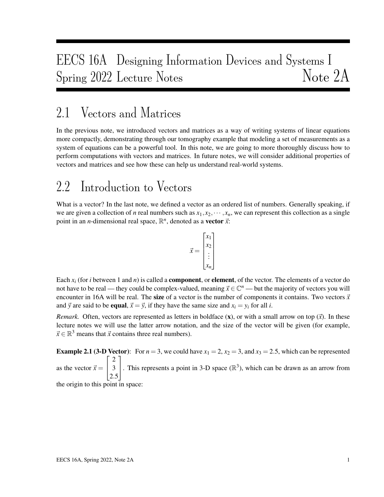# EECS 16A Designing Information Devices and Systems I Spring 2022 Lecture Notes Note 2A

# 2.1 Vectors and Matrices

In the previous note, we introduced vectors and matrices as a way of writing systems of linear equations more compactly, demonstrating through our tomography example that modeling a set of measurements as a system of equations can be a powerful tool. In this note, we are going to more thoroughly discuss how to perform computations with vectors and matrices. In future notes, we will consider additional properties of vectors and matrices and see how these can help us understand real-world systems.

# 2.2 Introduction to Vectors

What is a vector? In the last note, we defined a vector as an ordered list of numbers. Generally speaking, if we are given a collection of *n* real numbers such as  $x_1, x_2, \dots, x_n$ , we can represent this collection as a single point in an *n*-dimensional real space,  $\mathbb{R}^n$ , denoted as a **vector**  $\vec{x}$ :

$$
\vec{x} = \begin{bmatrix} x_1 \\ x_2 \\ \vdots \\ x_n \end{bmatrix}
$$

Each  $x_i$  (for *i* between 1 and *n*) is called a **component**, or **element**, of the vector. The elements of a vector do not have to be real — they could be complex-valued, meaning  $\vec{x} \in \mathbb{C}^n$  — but the majority of vectors you will encounter in 16A will be real. The size of a vector is the number of components it contains. Two vectors  $\vec{x}$ and  $\vec{y}$  are said to be **equal**,  $\vec{x} = \vec{y}$ , if they have the same size and  $x_i = y_i$  for all *i*.

*Remark.* Often, vectors are represented as letters in boldface  $(x)$ , or with a small arrow on top  $(\vec{x})$ . In these lecture notes we will use the latter arrow notation, and the size of the vector will be given (for example,  $\vec{x} \in \mathbb{R}^3$  means that  $\vec{x}$  contains three real numbers).

**Example 2.1 (3-D Vector):** For  $n = 3$ , we could have  $x_1 = 2$ ,  $x_2 = 3$ , and  $x_3 = 2.5$ , which can be represented as the vector  $\vec{x} =$  $\sqrt{ }$  $\overline{1}$ 2 3 2.5 1 . This represents a point in 3-D space  $(\mathbb{R}^3)$ , which can be drawn as an arrow from the origin to this point in space: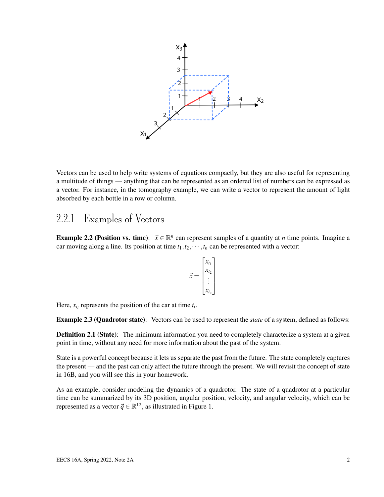

Vectors can be used to help write systems of equations compactly, but they are also useful for representing a multitude of things — anything that can be represented as an ordered list of numbers can be expressed as a vector. For instance, in the tomography example, we can write a vector to represent the amount of light absorbed by each bottle in a row or column.

#### 2.2.1 Examples of Vectors

**Example 2.2 (Position vs. time):**  $\vec{x} \in \mathbb{R}^n$  can represent samples of a quantity at *n* time points. Imagine a car moving along a line. Its position at time  $t_1, t_2, \dots, t_n$  can be represented with a vector:

$$
\vec{x} = \begin{bmatrix} x_{t_1} \\ x_{t_2} \\ \vdots \\ x_{t_n} \end{bmatrix}
$$

Here,  $x_{t_i}$  represents the position of the car at time  $t_i$ .

Example 2.3 (Quadrotor state): Vectors can be used to represent the *state* of a system, defined as follows:

Definition 2.1 (State): The minimum information you need to completely characterize a system at a given point in time, without any need for more information about the past of the system.

State is a powerful concept because it lets us separate the past from the future. The state completely captures the present — and the past can only affect the future through the present. We will revisit the concept of state in 16B, and you will see this in your homework.

As an example, consider modeling the dynamics of a quadrotor. The state of a quadrotor at a particular time can be summarized by its 3D position, angular position, velocity, and angular velocity, which can be represented as a vector  $\vec{q} \in \mathbb{R}^{12}$ , as illustrated in Figure 1.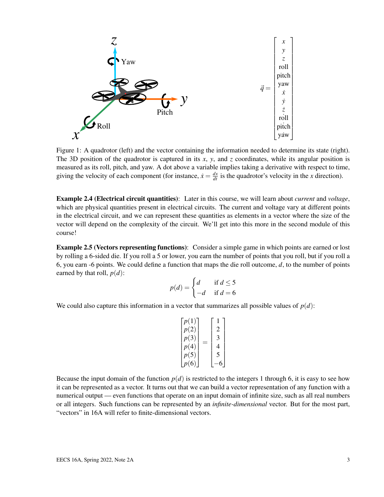$$
\sum_{\substack{z \text{ is a point of } x \\ z \text{ is a point of } y \\ z \text{ is a point of } y \\ z \text{ is a point of } y \\ z \text{ is a point of } y \\ z \text{ is a point of } y \\ z \text{ is a point of } y \\ z \text{ is a point of } y \\ z \text{ is a point of } y \\ z \text{ is a point of } y \\ z \text{ is a point of } y \\ z \text{ is a point of } y \\ z \text{ is a point of } y \\ z \text{ is a point of } y \\ z \text{ is a point of } y \\ z \text{ is a point of } y \\ z \text{ is a point of } y \\ z \text{ is a point of } y \\ z \text{ is a point of } y \\ z \text{ is a point of } y \\ z \text{ is a point of } y \\ z \text{ is a point of } y \\ z \text{ is a point of } y \\ z \text{ is a point of } y \\ z \text{ is a point of } y \\ z \text{ is a point of } y \\ z \text{ is a point of } y \\ z \text{ is a point of } y \\ z \text{ is a point of } y \\ z \text{ is a point of } y \\ z \text{ is a point of } y \\ z \text{ is a point of } y \\ z \text{ is a point of } y \\ z \text{ is a point of } y \\ z \text{ is a point of } y \\ z \text{ is a point of } y \\ z \text{ is a point of } y \\ z \text{ is a point of } y \\ z \text{ is a point of } y \\ z \text{ is a point of } y \\ z \text{ is a point of } y \\ z \text{ is a point of } y \\ z \text{ is a point of } y \\ z \text{ is a point of } y \\ z \text{ is a point of } y \\ z \text{ is a point of } y \\ z \text{ is a point of } y \\ z \text{ is a point of } y \\ z \text{ is a point of } y \\ z \text{ is a point of } y \\ z \text{ is a point of } y \\ z \text{ is a point of } y \\ z \text{ is a point of } y \\ z \text{ is a point of } y \\ z \text{ is a point of } y \\ z \text{ is a point of } y \\ z \text{ is a point of } y \\ z \text{ is a point of } y \\ z \text{ is a point of } y \\ z \text{ is a point of } y \\ z \text{ is a point of } y \\ z \text{ is a point of } y \\ z \text{ is a point of } y \\ z \text{ is a point of } y \\ z \text{ is a point of } y \\ z \text{ is a point of } y \\ z \text{ is a point of } y \\ z \text{ is a point of } y \\ z \text{ is
$$

Figure 1: A quadrotor (left) and the vector containing the information needed to determine its state (right). The 3D position of the quadrotor is captured in its *x*, *y*, and *z* coordinates, while its angular position is measured as its roll, pitch, and yaw. A dot above a variable implies taking a derivative with respect to time, giving the velocity of each component (for instance,  $\dot{x} = \frac{dx}{dt}$  is the quadrotor's velocity in the *x* direction).

Example 2.4 (Electrical circuit quantities): Later in this course, we will learn about *current* and *voltage*, which are physical quantities present in electrical circuits. The current and voltage vary at different points in the electrical circuit, and we can represent these quantities as elements in a vector where the size of the vector will depend on the complexity of the circuit. We'll get into this more in the second module of this course!

Example 2.5 (Vectors representing functions): Consider a simple game in which points are earned or lost by rolling a 6-sided die. If you roll a 5 or lower, you earn the number of points that you roll, but if you roll a 6, you earn -6 points. We could define a function that maps the die roll outcome, *d*, to the number of points earned by that roll,  $p(d)$ :

$$
p(d) = \begin{cases} d & \text{if } d \le 5 \\ -d & \text{if } d = 6 \end{cases}
$$

We could also capture this information in a vector that summarizes all possible values of  $p(d)$ :

$$
\begin{bmatrix} p(1) \\ p(2) \\ p(3) \\ p(4) \\ p(5) \\ p(6) \end{bmatrix} = \begin{bmatrix} 1 \\ 2 \\ 3 \\ 4 \\ 5 \\ -6 \end{bmatrix}
$$

Because the input domain of the function  $p(d)$  is restricted to the integers 1 through 6, it is easy to see how it can be represented as a vector. It turns out that we can build a vector representation of any function with a numerical output — even functions that operate on an input domain of infinite size, such as all real numbers or all integers. Such functions can be represented by an *infinite-dimensional* vector. But for the most part, "vectors" in 16A will refer to finite-dimensional vectors.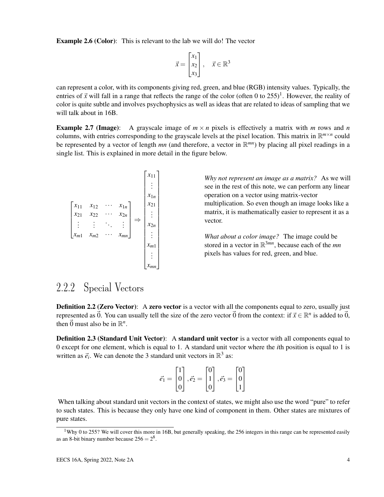**Example 2.6 (Color):** This is relevant to the lab we will do! The vector

$$
\vec{x} = \begin{bmatrix} x_1 \\ x_2 \\ x_3 \end{bmatrix}, \quad \vec{x} \in \mathbb{R}^3
$$

can represent a color, with its components giving red, green, and blue (RGB) intensity values. Typically, the entries of  $\vec{x}$  will fall in a range that reflects the range of the color (often 0 to 255)<sup>1</sup>. However, the reality of color is quite subtle and involves psychophysics as well as ideas that are related to ideas of sampling that we will talk about in 16B.

**Example 2.7 (Image):** A grayscale image of  $m \times n$  pixels is effectively a matrix with *m* rows and *n* columns, with entries corresponding to the grayscale levels at the pixel location. This matrix in  $\mathbb{R}^{m \times n}$  could be represented by a vector of length *mn* (and therefore, a vector in R *mn*) by placing all pixel readings in a single list. This is explained in more detail in the figure below.

$$
\begin{bmatrix} x_{11} & x_{12} & \cdots & x_{1n} \\ x_{21} & x_{22} & \cdots & x_{2n} \\ \vdots & \vdots & \ddots & \vdots \\ x_{m1} & x_{m2} & \cdots & x_{mn} \end{bmatrix} \Rightarrow \begin{bmatrix} x_{11} \\ x_{1n} \\ \vdots \\ x_{2n} \\ \vdots \\ x_{m1} \\ \vdots \\ x_{mn} \end{bmatrix}
$$

*Why not represent an image as a matrix?* As we will see in the rest of this note, we can perform any linear operation on a vector using matrix-vector multiplication. So even though an image looks like a matrix, it is mathematically easier to represent it as a vector.

*What about a color image?* The image could be stored in a vector in R <sup>3</sup>*mn*, because each of the *mn* pixels has values for red, green, and blue.

### 2.2.2 Special Vectors

Definition 2.2 (Zero Vector): A zero vector is a vector with all the components equal to zero, usually just represented as  $\vec{0}$ . You can usually tell the size of the zero vector  $\vec{0}$  from the context: if  $\vec{x} \in \mathbb{R}^n$  is added to  $\vec{0}$ , then  $\vec{0}$  must also be in  $\mathbb{R}^n$ .

Definition 2.3 (Standard Unit Vector): A standard unit vector is a vector with all components equal to 0 except for one element, which is equal to 1. A standard unit vector where the *i*th position is equal to 1 is written as  $\vec{e}_i$ . We can denote the 3 standard unit vectors in  $\mathbb{R}^3$  as:

$$
\vec{e_1} = \begin{bmatrix} 1 \\ 0 \\ 0 \end{bmatrix}, \vec{e_2} = \begin{bmatrix} 0 \\ 1 \\ 0 \end{bmatrix}, \vec{e_3} = \begin{bmatrix} 0 \\ 0 \\ 1 \end{bmatrix}
$$

When talking about standard unit vectors in the context of states, we might also use the word "pure" to refer to such states. This is because they only have one kind of component in them. Other states are mixtures of pure states.

<sup>&</sup>lt;sup>1</sup>Why 0 to 255? We will cover this more in 16B, but generally speaking, the 256 integers in this range can be represented easily as an 8-bit binary number because  $256 = 2^8$ .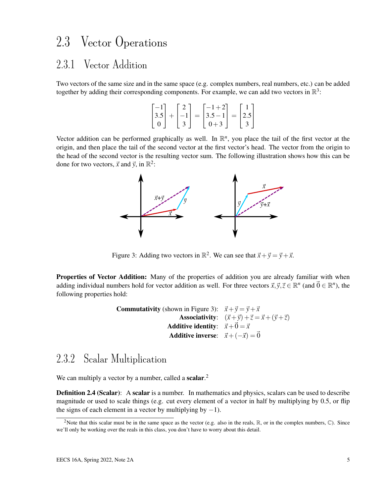# 2.3 Vector Operations

## 2.3.1 Vector Addition

Two vectors of the same size and in the same space (e.g. complex numbers, real numbers, etc.) can be added together by adding their corresponding components. For example, we can add two vectors in  $\mathbb{R}^3$ :

$$
\begin{bmatrix} -1 \\ 3.5 \\ 0 \end{bmatrix} + \begin{bmatrix} 2 \\ -1 \\ 3 \end{bmatrix} = \begin{bmatrix} -1+2 \\ 3.5-1 \\ 0+3 \end{bmatrix} = \begin{bmatrix} 1 \\ 2.5 \\ 3 \end{bmatrix}
$$

Vector addition can be performed graphically as well. In  $\mathbb{R}^n$ , you place the tail of the first vector at the origin, and then place the tail of the second vector at the first vector's head. The vector from the origin to the head of the second vector is the resulting vector sum. The following illustration shows how this can be done for two vectors,  $\vec{x}$  and  $\vec{y}$ , in  $\mathbb{R}^2$ :



Figure 3: Adding two vectors in  $\mathbb{R}^2$ . We can see that  $\vec{x} + \vec{y} = \vec{y} + \vec{x}$ .

**Properties of Vector Addition:** Many of the properties of addition you are already familiar with when adding individual numbers hold for vector addition as well. For three vectors  $\vec{x}, \vec{y}, \vec{z} \in \mathbb{R}^n$  (and  $\vec{0} \in \mathbb{R}^n$ ), the following properties hold:

> **Commutativity** (shown in Figure 3):  $\vec{x} + \vec{y} = \vec{y} + \vec{x}$ Associativity:  $(\vec{x} + \vec{y}) + \vec{z} = \vec{x} + (\vec{y} + \vec{z})$ Additive identity:  $\vec{x}+\vec{0}=\vec{x}$ Additive inverse:  $\vec{x}+(-\vec{x})=\vec{0}$

### 2.3.2 Scalar Multiplication

We can multiply a vector by a number, called a scalar. $<sup>2</sup>$ </sup>

**Definition 2.4 (Scalar):** A scalar is a number. In mathematics and physics, scalars can be used to describe magnitude or used to scale things (e.g. cut every element of a vector in half by multiplying by 0.5, or flip the signs of each element in a vector by multiplying by  $-1$ ).

<sup>&</sup>lt;sup>2</sup>Note that this scalar must be in the same space as the vector (e.g. also in the reals,  $\mathbb{R}$ , or in the complex numbers,  $\mathbb{C}$ ). Since we'll only be working over the reals in this class, you don't have to worry about this detail.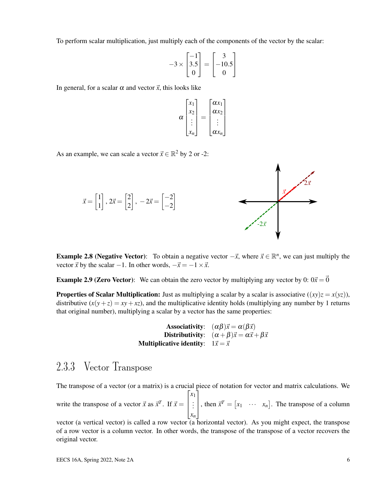To perform scalar multiplication, just multiply each of the components of the vector by the scalar:

$$
-3 \times \begin{bmatrix} -1 \\ 3.5 \\ 0 \end{bmatrix} = \begin{bmatrix} 3 \\ -10.5 \\ 0 \end{bmatrix}
$$

In general, for a scalar  $\alpha$  and vector  $\vec{x}$ , this looks like

$$
\alpha \begin{bmatrix} x_1 \\ x_2 \\ \vdots \\ x_n \end{bmatrix} = \begin{bmatrix} \alpha x_1 \\ \alpha x_2 \\ \vdots \\ \alpha x_n \end{bmatrix}
$$

As an example, we can scale a vector  $\vec{x} \in \mathbb{R}^2$  by 2 or -2:



**Example 2.8 (Negative Vector):** To obtain a negative vector  $-\vec{x}$ , where  $\vec{x} \in \mathbb{R}^n$ , we can just multiply the vector  $\vec{x}$  by the scalar −1. In other words,  $-\vec{x} = -1 \times \vec{x}$ .

**Example 2.9 (Zero Vector):** We can obtain the zero vector by multiplying any vector by 0:  $0\vec{x} = \vec{0}$ 

**Properties of Scalar Multiplication:** Just as multiplying a scalar by a scalar is associative  $((xy)z = x(yz))$ , distributive  $(x(y+z) = xy + xz)$ , and the multiplicative identity holds (multiplying any number by 1 returns that original number), multiplying a scalar by a vector has the same properties:

**Associativity:** 
$$
(\alpha \beta) \vec{x} = \alpha(\beta \vec{x})
$$
  
**Distributivity:**  $(\alpha + \beta) \vec{x} = \alpha \vec{x} + \beta \vec{x}$   
**Multiplicative identity:**  $1\vec{x} = \vec{x}$ 

### 2.3.3 Vector Transpose

The transpose of a vector (or a matrix) is a crucial piece of notation for vector and matrix calculations. We write the transpose of a vector  $\vec{x}$  as  $\vec{x}^T$ . If  $\vec{x} =$  $\sqrt{ }$  $\vert$ *x*1 . . . *xn* 1 , then  $\vec{x}^T = \begin{bmatrix} x_1 & \cdots & x_n \end{bmatrix}$ . The transpose of a column

vector (a vertical vector) is called a row vector (a horizontal vector). As you might expect, the transpose of a row vector is a column vector. In other words, the transpose of the transpose of a vector recovers the original vector.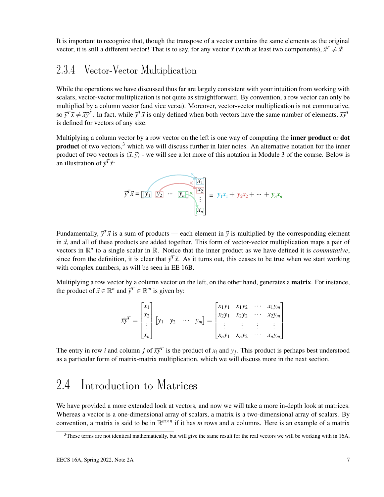It is important to recognize that, though the transpose of a vector contains the same elements as the original vector, it is still a different vector! That is to say, for any vector  $\vec{x}$  (with at least two components),  $\vec{x}^T \neq \vec{x}$ !

#### 2.3.4 Vector-Vector Multiplication

While the operations we have discussed thus far are largely consistent with your intuition from working with scalars, vector-vector multiplication is not quite as straightforward. By convention, a row vector can only be multiplied by a column vector (and vice versa). Moreover, vector-vector multiplication is not commutative, so  $\vec{y}^T \vec{x} \neq \vec{x} \vec{y}^T$ . In fact, while  $\vec{y}^T \vec{x}$  is only defined when both vectors have the same number of elements,  $\vec{x} \vec{y}^T$ is defined for vectors of any size.

Multiplying a column vector by a row vector on the left is one way of computing the **inner product** or **dot product** of two vectors,<sup>3</sup> which we will discuss further in later notes. An alternative notation for the inner product of two vectors is  $\langle \vec{x}, \vec{y} \rangle$  - we will see a lot more of this notation in Module 3 of the course. Below is an illustration of  $\vec{y}^T \vec{x}$ :

$$
\overrightarrow{y}^T \overrightarrow{x} = \boxed{y_1} \quad \overrightarrow{y_2} \quad \cdots \quad \overrightarrow{y_n} \begin{bmatrix} \overrightarrow{x} \\ \overrightarrow{x_1} \\ \vdots \\ \overrightarrow{x_n} \end{bmatrix} = y_1 x_1 + y_2 x_2 + \cdots + y_n x_n
$$

Fundamentally,  $\vec{y}^T \vec{x}$  is a sum of products — each element in  $\vec{y}$  is multiplied by the corresponding element in  $\vec{x}$ , and all of these products are added together. This form of vector-vector multiplication maps a pair of vectors in  $\mathbb{R}^n$  to a single scalar in  $\mathbb{R}$ . Notice that the inner product as we have defined it is *commutative*, since from the definition, it is clear that  $\vec{y}^T \vec{x}$ . As it turns out, this ceases to be true when we start working with complex numbers, as will be seen in EE 16B.

Multiplying a row vector by a column vector on the left, on the other hand, generates a matrix. For instance, the product of  $\vec{x} \in \mathbb{R}^n$  and  $\vec{y}^T \in \mathbb{R}^m$  is given by:

$$
\vec{x}\vec{y}^T = \begin{bmatrix} x_1 \\ x_2 \\ \vdots \\ x_n \end{bmatrix} \begin{bmatrix} y_1 & y_2 & \cdots & y_m \end{bmatrix} = \begin{bmatrix} x_1y_1 & x_1y_2 & \cdots & x_1y_m \\ x_2y_1 & x_2y_2 & \cdots & x_2y_m \\ \vdots & \vdots & \vdots & \vdots \\ x_ny_1 & x_ny_2 & \cdots & x_ny_m \end{bmatrix}
$$

The entry in row *i* and column *j* of  $\vec{x} \vec{y}^T$  is the product of  $x_i$  and  $y_j$ . This product is perhaps best understood as a particular form of matrix-matrix multiplication, which we will discuss more in the next section.

# 2.4 Introduction to Matrices

We have provided a more extended look at vectors, and now we will take a more in-depth look at matrices. Whereas a vector is a one-dimensional array of scalars, a matrix is a two-dimensional array of scalars. By convention, a matrix is said to be in  $\mathbb{R}^{m \times n}$  if it has *m* rows and *n* columns. Here is an example of a matrix

 $3$ These terms are not identical mathematically, but will give the same result for the real vectors we will be working with in 16A.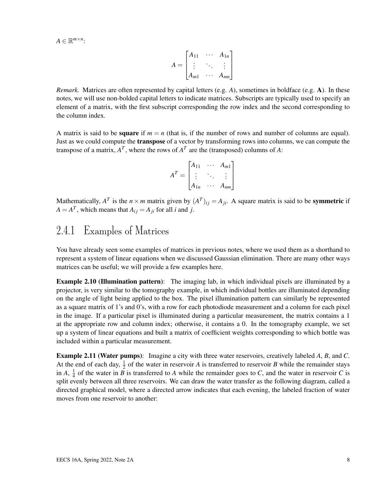$A \in \mathbb{R}^{m \times n}$ :

$$
A = \begin{bmatrix} A_{11} & \cdots & A_{1n} \\ \vdots & \ddots & \vdots \\ A_{m1} & \cdots & A_{mn} \end{bmatrix}
$$

*Remark.* Matrices are often represented by capital letters (e.g. *A*), sometimes in boldface (e.g. A). In these notes, we will use non-bolded capital letters to indicate matrices. Subscripts are typically used to specify an element of a matrix, with the first subscript corresponding the row index and the second corresponding to the column index.

A matrix is said to be **square** if  $m = n$  (that is, if the number of rows and number of columns are equal). Just as we could compute the **transpose** of a vector by transforming rows into columns, we can compute the transpose of a matrix,  $A<sup>T</sup>$ , where the rows of  $A<sup>T</sup>$  are the (transposed) columns of A:

| $A_{11}$ | $A_{m1}$ |
|----------|----------|
|          |          |
| $A_{1n}$ | $A_{nm}$ |

Mathematically,  $A^T$  is the  $n \times m$  matrix given by  $(A^T)_{ij} = A_{ji}$ . A square matrix is said to be **symmetric** if  $A = A^T$ , which means that  $A_{ij} = A_{ji}$  for all *i* and *j*.

## 2.4.1 Examples of Matrices

You have already seen some examples of matrices in previous notes, where we used them as a shorthand to represent a system of linear equations when we discussed Gaussian elimination. There are many other ways matrices can be useful; we will provide a few examples here.

**Example 2.10 (Illumination pattern)**: The imaging lab, in which individual pixels are illuminated by a projector, is very similar to the tomography example, in which individual bottles are illuminated depending on the angle of light being applied to the box. The pixel illumination pattern can similarly be represented as a square matrix of 1's and 0's, with a row for each photodiode measurement and a column for each pixel in the image. If a particular pixel is illuminated during a particular measurement, the matrix contains a 1 at the appropriate row and column index; otherwise, it contains a 0. In the tomography example, we set up a system of linear equations and built a matrix of coefficient weights corresponding to which bottle was included within a particular measurement.

Example 2.11 (Water pumps): Imagine a city with three water reservoirs, creatively labeled *A*, *B*, and *C*. At the end of each day,  $\frac{1}{2}$  of the water in reservoir *A* is transferred to reservoir *B* while the remainder stays in  $A, \frac{1}{4}$  $\frac{1}{4}$  of the water in *B* is transferred to *A* while the remainder goes to *C*, and the water in reservoir *C* is split evenly between all three reservoirs. We can draw the water transfer as the following diagram, called a directed graphical model, where a directed arrow indicates that each evening, the labeled fraction of water moves from one reservoir to another: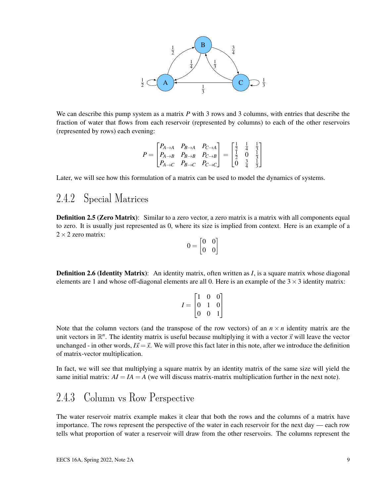

We can describe this pump system as a matrix *P* with 3 rows and 3 columns, with entries that describe the fraction of water that flows from each reservoir (represented by columns) to each of the other reservoirs (represented by rows) each evening:

$$
P = \begin{bmatrix} P_{A \to A} & P_{B \to A} & P_{C \to A} \\ P_{A \to B} & P_{B \to B} & P_{C \to B} \\ P_{A \to C} & P_{B \to C} & P_{C \to C} \end{bmatrix} = \begin{bmatrix} \frac{1}{2} & \frac{1}{4} & \frac{1}{3} \\ \frac{1}{2} & 0 & \frac{1}{3} \\ 0 & \frac{3}{4} & \frac{1}{3} \end{bmatrix}
$$

Later, we will see how this formulation of a matrix can be used to model the dynamics of systems.

### 2.4.2 Special Matrices

Definition 2.5 (Zero Matrix): Similar to a zero vector, a zero matrix is a matrix with all components equal to zero. It is usually just represented as 0, where its size is implied from context. Here is an example of a  $2 \times 2$  zero matrix:

$$
0 = \begin{bmatrix} 0 & 0 \\ 0 & 0 \end{bmatrix}
$$

**Definition 2.6 (Identity Matrix):** An identity matrix, often written as *I*, is a square matrix whose diagonal elements are 1 and whose off-diagonal elements are all 0. Here is an example of the  $3 \times 3$  identity matrix:

|                 |                 | 0              |                                             |  |
|-----------------|-----------------|----------------|---------------------------------------------|--|
| $\cal I$<br>$=$ | $\vert 0 \vert$ |                | $\begin{bmatrix} 0 \\ 0 \\ 1 \end{bmatrix}$ |  |
|                 | $\vert 0$       | $\overline{0}$ |                                             |  |

Note that the column vectors (and the transpose of the row vectors) of an  $n \times n$  identity matrix are the unit vectors in  $\mathbb{R}^n$ . The identity matrix is useful because multiplying it with a vector  $\vec{x}$  will leave the vector unchanged - in other words,  $I\vec{x} = \vec{x}$ . We will prove this fact later in this note, after we introduce the definition of matrix-vector multiplication.

In fact, we will see that multiplying a square matrix by an identity matrix of the same size will yield the same initial matrix:  $AI = IA = A$  (we will discuss matrix-matrix multiplication further in the next note).

## 2.4.3 Column vs Row Perspective

The water reservoir matrix example makes it clear that both the rows and the columns of a matrix have importance. The rows represent the perspective of the water in each reservoir for the next day — each row tells what proportion of water a reservoir will draw from the other reservoirs. The columns represent the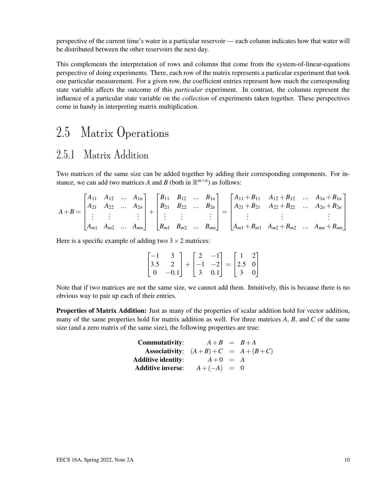perspective of the current time's water in a particular reservoir — each column indicates how that water will be distributed between the other reservoirs the next day.

This complements the interpretation of rows and columns that come from the system-of-linear-equations perspective of doing experiments. There, each row of the matrix represents a particular experiment that took one particular measurement. For a given row, the coefficient entries represent how much the corresponding state variable affects the outcome of this *particular* experiment. In contrast, the columns represent the influence of a particular state variable on the *collection* of experiments taken together. These perspectives come in handy in interpreting matrix multiplication.

# 2.5 Matrix Operations

# 2.5.1 Matrix Addition

Two matrices of the same size can be added together by adding their corresponding components. For instance, we can add two matrices *A* and *B* (both in  $\mathbb{R}^{m \times n}$ ) as follows:

$$
A + B = \begin{bmatrix} A_{11} & A_{12} & \dots & A_{1n} \\ A_{21} & A_{22} & \dots & A_{2n} \\ \vdots & \vdots & & \vdots \\ A_{m1} & A_{m2} & \dots & A_{mn} \end{bmatrix} + \begin{bmatrix} B_{11} & B_{12} & \dots & B_{1n} \\ B_{21} & B_{22} & \dots & B_{2n} \\ \vdots & \vdots & & \vdots \\ B_{m1} & B_{m2} & \dots & B_{mn} \end{bmatrix} = \begin{bmatrix} A_{11} + B_{11} & A_{12} + B_{12} & \dots & A_{1n} + B_{1n} \\ A_{21} + B_{21} & A_{22} + B_{22} & \dots & A_{2n} + B_{2n} \\ \vdots & & \vdots & & \vdots \\ A_{m1} + B_{m1} & A_{m2} + B_{m2} & \dots & A_{mn} + B_{mn} \end{bmatrix}
$$

Here is a specific example of adding two  $3 \times 2$  matrices:

|  | $\begin{bmatrix} -1 & 3 \\ 3.5 & 2 \\ 0 & -0.1 \end{bmatrix} + \begin{bmatrix} 2 & -1 \\ -1 & -2 \\ 3 & 0.1 \end{bmatrix} = \begin{bmatrix} 1 & 2 \\ 2.5 & 0 \\ 3 & 0 \end{bmatrix}$ |  |  |  |
|--|--------------------------------------------------------------------------------------------------------------------------------------------------------------------------------------|--|--|--|

Note that if two matrices are not the same size, we cannot add them. Intuitively, this is because there is no obvious way to pair up each of their entries.

Properties of Matrix Addition: Just as many of the properties of scalar addition hold for vector addition, many of the same properties hold for matrix addition as well. For three matrices *A*, *B*, and *C* of the same size (and a zero matrix of the same size), the following properties are true:

| <b>Commutativity:</b>              | $A+B = B+A$    |  |
|------------------------------------|----------------|--|
| Associativity: $(A+B)+C = A+(B+C)$ |                |  |
| <b>Additive identity:</b>          | $A+0 = A$      |  |
| <b>Additive inverse:</b>           | $A + (-A) = 0$ |  |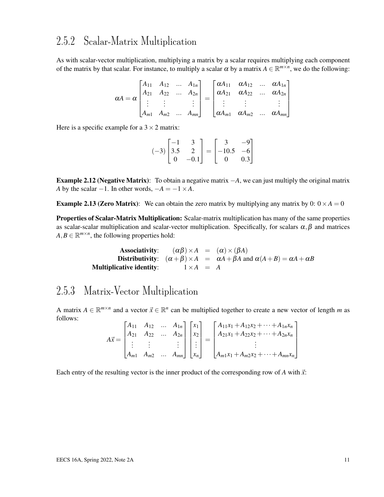### 2.5.2 Scalar-Matrix Multiplication

As with scalar-vector multiplication, multiplying a matrix by a scalar requires multiplying each component of the matrix by that scalar. For instance, to multiply a scalar  $\alpha$  by a matrix  $A \in \mathbb{R}^{m \times n}$ , we do the following:

$$
\alpha A = \alpha \begin{bmatrix} A_{11} & A_{12} & \dots & A_{1n} \\ A_{21} & A_{22} & \dots & A_{2n} \\ \vdots & \vdots & & \vdots \\ A_{m1} & A_{m2} & \dots & A_{mn} \end{bmatrix} = \begin{bmatrix} \alpha A_{11} & \alpha A_{12} & \dots & \alpha A_{1n} \\ \alpha A_{21} & \alpha A_{22} & \dots & \alpha A_{2n} \\ \vdots & & \vdots & & \vdots \\ \alpha A_{m1} & \alpha A_{m2} & \dots & \alpha A_{mn} \end{bmatrix}
$$

Here is a specific example for a  $3 \times 2$  matrix:

$$
(-3)\begin{bmatrix} -1 & 3 \\ 3.5 & 2 \\ 0 & -0.1 \end{bmatrix} = \begin{bmatrix} 3 & -9 \\ -10.5 & -6 \\ 0 & 0.3 \end{bmatrix}
$$

Example 2.12 (Negative Matrix): To obtain a negative matrix −*A*, we can just multiply the original matrix *A* by the scalar  $-1$ . In other words,  $-A = -1 \times A$ .

**Example 2.13 (Zero Matrix):** We can obtain the zero matrix by multiplying any matrix by  $0: 0 \times A = 0$ 

Properties of Scalar-Matrix Multiplication: Scalar-matrix multiplication has many of the same properties as scalar-scalar multiplication and scalar-vector multiplication. Specifically, for scalars  $\alpha, \beta$  and matrices  $A, B \in \mathbb{R}^{m \times n}$ , the following properties hold:

> Associativity:  $(\alpha \beta) \times A = (\alpha) \times (\beta A)$ Distributivity:  $(\alpha + \beta) \times A = \alpha A + \beta A$  and  $\alpha(A + B) = \alpha A + \alpha B$ **Multiplicative identity:**  $1 \times A = A$

#### 2.5.3 Matrix-Vector Multiplication

A matrix  $A \in \mathbb{R}^{m \times n}$  and a vector  $\vec{x} \in \mathbb{R}^n$  can be multiplied together to create a new vector of length *m* as follows:  $F_{\rm A}$ *A*<sup>11</sup> *A*<sup>12</sup> ... *A*1*<sup>n</sup>*

$$
A\vec{x} = \begin{bmatrix} A_{11} & A_{12} & \dots & A_{1n} \\ A_{21} & A_{22} & \dots & A_{2n} \\ \vdots & \vdots & & \vdots \\ A_{m1} & A_{m2} & \dots & A_{mn} \end{bmatrix} \begin{bmatrix} x_1 \\ x_2 \\ \vdots \\ x_n \end{bmatrix} = \begin{bmatrix} A_{11}x_1 + A_{12}x_2 + \dots + A_{1n}x_n \\ A_{21}x_1 + A_{22}x_2 + \dots + A_{2n}x_n \\ \vdots \\ A_{m1}x_1 + A_{m2}x_2 + \dots + A_{mn}x_n \end{bmatrix}
$$

Each entry of the resulting vector is the inner product of the corresponding row of *A* with  $\vec{x}$ :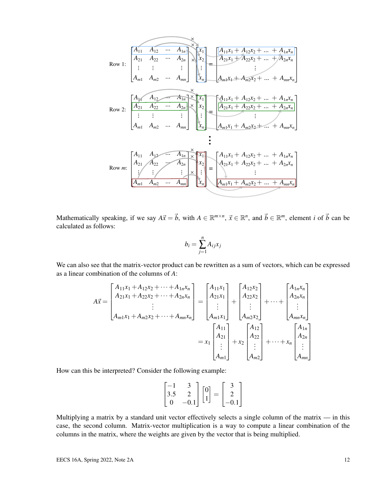$$
Row 1: \begin{bmatrix} A_{11} & A_{12} & \cdots & A_{1n} \\ A_{21} & A_{22} & \cdots & A_{2n} \\ \vdots & \vdots & & \vdots \\ A_{m1} & A_{m2} & \cdots & A_{mn} \end{bmatrix} \times \begin{bmatrix} x_1 \\ x_2 \\ x_3 \\ \vdots \\ x_n \end{bmatrix} = \begin{bmatrix} A_{11}x_1 + A_{12}x_2 + \cdots + A_{1n}x_n \\ A_{21}x_1 + A_{22}x_2 + \cdots + A_{2n}x_n \\ \vdots \\ A_{m1}x_1 + A_{m2}x_2 + \cdots + A_{nm}x_n \end{bmatrix}
$$
  
Row 2: 
$$
\begin{bmatrix} A_{11} & A_{12} & A_{12} & A_{1n} \\ \vdots & \vdots & & \vdots \\ A_{m1} & A_{m2} & \cdots & A_{mn} \end{bmatrix} \times \begin{bmatrix} x_1 \\ x_2 \\ x_3 \\ \vdots \\ x_n \end{bmatrix} = \begin{bmatrix} A_{11}x_1 + A_{12}x_2 + \cdots + A_{1n}x_n \\ A_{21}x_1 + A_{22}x_2 + \cdots + A_{2n}x_n \\ \vdots \\ A_{m1}x_1 + A_{m2}x_2 + \cdots + A_{mn}x_n \end{bmatrix}
$$
  
Row *m*:
$$
\begin{bmatrix} A_{11} & A_{12} & A_{12} & A_{1n} \\ A_{21} & A_{22} & A_{2n} \\ \vdots & \vdots & \vdots \\ A_{m1} & A_{m2} & \cdots & A_{mn} \end{bmatrix} \times \begin{bmatrix} x_1 \\ x_2 \\ x_3 \\ \vdots \\ x_n \end{bmatrix} = \begin{bmatrix} A_{11}x_1 + A_{12}x_2 + \cdots + A_{1n}x_n \\ A_{21}x_1 + A_{22}x_2 + \cdots + A_{2n}x_n \\ \vdots \\ A_{m1}x_1 + A_{m2}x_2 + \cdots + A_{mn}x_n \end{bmatrix}
$$

Mathematically speaking, if we say  $A\vec{x} = \vec{b}$ , with  $A \in \mathbb{R}^{m \times n}$ ,  $\vec{x} \in \mathbb{R}^n$ , and  $\vec{b} \in \mathbb{R}^m$ , element *i* of  $\vec{b}$  can be calculated as follows:

$$
b_i = \sum_{j=1}^n A_{ij} x_j
$$

We can also see that the matrix-vector product can be rewritten as a sum of vectors, which can be expressed as a linear combination of the columns of *A*:

$$
A\vec{x} = \begin{bmatrix} A_{11}x_1 + A_{12}x_2 + \dots + A_{1n}x_n \\ A_{21}x_1 + A_{22}x_2 + \dots + A_{2n}x_n \\ \vdots \\ A_{m1}x_1 + A_{m2}x_2 + \dots + A_{mn}x_n \end{bmatrix} = \begin{bmatrix} A_{11}x_1 \\ A_{21}x_1 \\ \vdots \\ A_{m1}x_1 \end{bmatrix} + \begin{bmatrix} A_{12}x_2 \\ A_{22}x_2 \\ \vdots \\ A_{m2}x_2 \end{bmatrix} + \dots + \begin{bmatrix} A_{1n}x_n \\ A_{2n}x_n \\ \vdots \\ A_{mn}x_n \end{bmatrix}
$$

$$
= x_1 \begin{bmatrix} A_{11} \\ A_{21} \\ \vdots \\ A_{m1} \end{bmatrix} + x_2 \begin{bmatrix} A_{12} \\ A_{22} \\ \vdots \\ A_{m2} \end{bmatrix} + \dots + x_n \begin{bmatrix} A_{1n} \\ A_{2n} \\ \vdots \\ A_{mn} \end{bmatrix}
$$

How can this be interpreted? Consider the following example:

$$
\begin{bmatrix} -1 & 3 \\ 3.5 & 2 \\ 0 & -0.1 \end{bmatrix} \begin{bmatrix} 0 \\ 1 \end{bmatrix} = \begin{bmatrix} 3 \\ 2 \\ -0.1 \end{bmatrix}
$$

Multiplying a matrix by a standard unit vector effectively selects a single column of the matrix — in this case, the second column. Matrix-vector multiplication is a way to compute a linear combination of the columns in the matrix, where the weights are given by the vector that is being multiplied.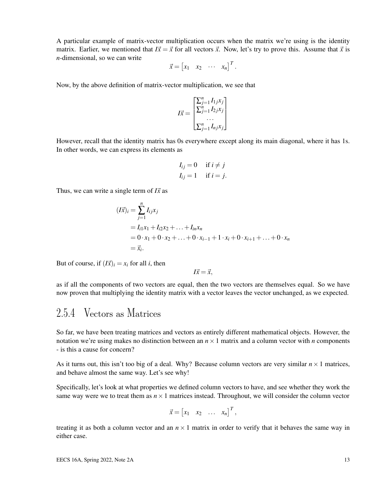A particular example of matrix-vector multiplication occurs when the matrix we're using is the identity matrix. Earlier, we mentioned that  $I\vec{x} = \vec{x}$  for all vectors  $\vec{x}$ . Now, let's try to prove this. Assume that  $\vec{x}$  is *n*-dimensional, so we can write

$$
\vec{x} = \begin{bmatrix} x_1 & x_2 & \cdots & x_n \end{bmatrix}^T.
$$

Now, by the above definition of matrix-vector multiplication, we see that

$$
I\vec{x} = \begin{bmatrix} \sum_{j=1}^{n} I_{1j}x_j \\ \sum_{j=1}^{n} I_{2j}x_j \\ \dots \\ \sum_{j=1}^{n} I_{nj}x_j \end{bmatrix}
$$

However, recall that the identity matrix has 0s everywhere except along its main diagonal, where it has 1s. In other words, we can express its elements as

$$
I_{ij} = 0 \quad \text{if } i \neq j
$$
  

$$
I_{ij} = 1 \quad \text{if } i = j.
$$

Thus, we can write a single term of  $I\vec{x}$  as

$$
(I\vec{x})_i = \sum_{j=1}^n I_{ij}x_j
$$
  
=  $I_{i1}x_1 + I_{i2}x_2 + ... + I_{in}x_n$   
=  $0 \cdot x_1 + 0 \cdot x_2 + ... + 0 \cdot x_{i-1} + 1 \cdot x_i + 0 \cdot x_{i+1} + ... + 0 \cdot x_n$   
=  $\vec{x}_i$ .

But of course, if  $(I\vec{x})_i = x_i$  for all *i*, then

$$
I\vec{x} = \vec{x},
$$

as if all the components of two vectors are equal, then the two vectors are themselves equal. So we have now proven that multiplying the identity matrix with a vector leaves the vector unchanged, as we expected.

### 2.5.4 Vectors as Matrices

So far, we have been treating matrices and vectors as entirely different mathematical objects. However, the notation we're using makes no distinction between an  $n \times 1$  matrix and a column vector with *n* components - is this a cause for concern?

As it turns out, this isn't too big of a deal. Why? Because column vectors are very similar  $n \times 1$  matrices, and behave almost the same way. Let's see why!

Specifically, let's look at what properties we defined column vectors to have, and see whether they work the same way were we to treat them as  $n \times 1$  matrices instead. Throughout, we will consider the column vector

$$
\vec{x} = \begin{bmatrix} x_1 & x_2 & \dots & x_n \end{bmatrix}^T,
$$

treating it as both a column vector and an  $n \times 1$  matrix in order to verify that it behaves the same way in either case.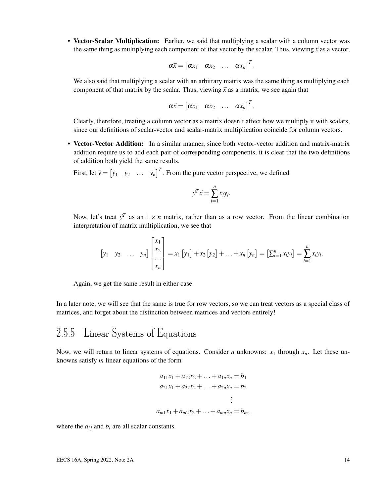• Vector-Scalar Multiplication: Earlier, we said that multiplying a scalar with a column vector was the same thing as multiplying each component of that vector by the scalar. Thus, viewing  $\vec{x}$  as a vector,

$$
\alpha \vec{x} = \begin{bmatrix} \alpha x_1 & \alpha x_2 & \dots & \alpha x_n \end{bmatrix}^T.
$$

We also said that multiplying a scalar with an arbitrary matrix was the same thing as multiplying each component of that matrix by the scalar. Thus, viewing  $\vec{x}$  as a matrix, we see again that

$$
\alpha \vec{x} = \begin{bmatrix} \alpha x_1 & \alpha x_2 & \dots & \alpha x_n \end{bmatrix}^T.
$$

Clearly, therefore, treating a column vector as a matrix doesn't affect how we multiply it with scalars, since our definitions of scalar-vector and scalar-matrix multiplication coincide for column vectors.

• Vector-Vector Addition: In a similar manner, since both vector-vector addition and matrix-matrix addition require us to add each pair of corresponding components, it is clear that the two definitions of addition both yield the same results.

First, let  $\vec{y} = \begin{bmatrix} y_1 & y_2 & \dots & y_n \end{bmatrix}^T$ . From the pure vector perspective, we defined

$$
\vec{y}^T \vec{x} = \sum_{i=1}^n x_i y_i.
$$

Now, let's treat  $\vec{y}^T$  as an  $1 \times n$  matrix, rather than as a row vector. From the linear combination interpretation of matrix multiplication, we see that

$$
\begin{bmatrix} y_1 & y_2 & \dots & y_n \end{bmatrix} \begin{bmatrix} x_1 \\ x_2 \\ \dots \\ x_n \end{bmatrix} = x_1 \begin{bmatrix} y_1 \end{bmatrix} + x_2 \begin{bmatrix} y_2 \end{bmatrix} + \dots + x_n \begin{bmatrix} y_n \end{bmatrix} = \begin{bmatrix} \sum_{i=1}^n x_i y_i \end{bmatrix} = \sum_{i=1}^n x_i y_i.
$$

Again, we get the same result in either case.

In a later note, we will see that the same is true for row vectors, so we can treat vectors as a special class of matrices, and forget about the distinction between matrices and vectors entirely!

#### 2.5.5 Linear Systems of Equations

Now, we will return to linear systems of equations. Consider *n* unknowns:  $x_1$  through  $x_n$ . Let these unknowns satisfy *m* linear equations of the form

$$
a_{11}x_1 + a_{12}x_2 + \dots + a_{1n}x_n = b_1
$$
  
\n
$$
a_{21}x_1 + a_{22}x_2 + \dots + a_{2n}x_n = b_2
$$
  
\n
$$
\vdots
$$
  
\n
$$
a_{m1}x_1 + a_{m2}x_2 + \dots + a_{mn}x_n = b_m,
$$

where the  $a_{ij}$  and  $b_i$  are all scalar constants.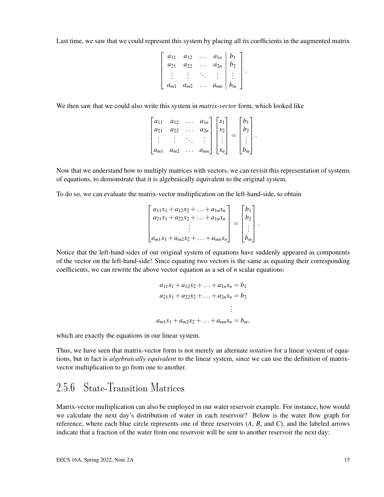Last time, we saw that we could represent this system by placing all its coefficients in the augmented matrix

$$
\left[\begin{array}{cccc|c} a_{11} & a_{12} & \cdots & a_{1n} & b_1 \\ a_{21} & a_{22} & \cdots & a_{2n} & b_2 \\ \vdots & \vdots & \ddots & \vdots & \vdots \\ a_{m1} & a_{m2} & \cdots & a_{mn} & b_m \end{array}\right].
$$

We then saw that we could also write this system in *matrix-vector* form, which looked like

| $a_{11}$ | $a_{12}$ | $a_{1n}$ | $\mathcal{X}_1$ |  |  |
|----------|----------|----------|-----------------|--|--|
| $a_{21}$ | $a_{22}$ | $a_{2n}$ | $\chi_2$        |  |  |
|          |          |          |                 |  |  |
| $a_{m1}$ |          | $a_{mn}$ |                 |  |  |
|          | $a_{m2}$ |          | $x_n$           |  |  |

Now that we understand how to multiply matrices with vectors, we can revisit this representation of systems of equations, to demonstrate that it is algebraically equivalent to the original system.

To do so, we can evaluate the matrix-vector multiplication on the left-hand-side, to obtain

$$
\begin{bmatrix} a_{11}x_1 + a_{12}x_2 + \dots + a_{1n}x_n \\ a_{21}x_1 + a_{22}x_2 + \dots + a_{1n}x_n \\ \vdots \\ a_{m1}x_1 + a_{m2}x_2 + \dots + a_{mn}x_n \end{bmatrix} = \begin{bmatrix} b_1 \\ b_2 \\ \vdots \\ b_m \end{bmatrix}.
$$

Notice that the left-hand-sides of our original system of equations have suddenly appeared as components of the vector on the left-hand-side! Since equating two vectors is the same as equating their corresponding coefficients, we can rewrite the above vector equation as a set of *n* scalar equations:

$$
a_{11}x_1 + a_{12}x_2 + \dots + a_{1n}x_n = b_1
$$
  
\n
$$
a_{21}x_1 + a_{22}x_2 + \dots + a_{2n}x_n = b_2
$$
  
\n
$$
\vdots
$$
  
\n
$$
a_{m1}x_1 + a_{m2}x_2 + \dots + a_{mn}x_n = b_m,
$$

which are exactly the equations in our linear system.

Thus, we have seen that matrix-vector form is not merely an alternate *notation* for a linear system of equations, but in fact is *algebraically equivalent* to the linear system, since we can use the definition of matrixvector multiplication to go from one to another.

## 2.5.6 State-Transition Matrices

Matrix-vector multiplication can also be employed in our water reservoir example. For instance, how would we calculate the next day's distribution of water in each reservoir? Below is the water flow graph for reference, where each blue circle represents one of three reservoirs (*A*, *B*, and *C*), and the labeled arrows indicate that a fraction of the water from one reservoir will be sent to another reservoir the next day: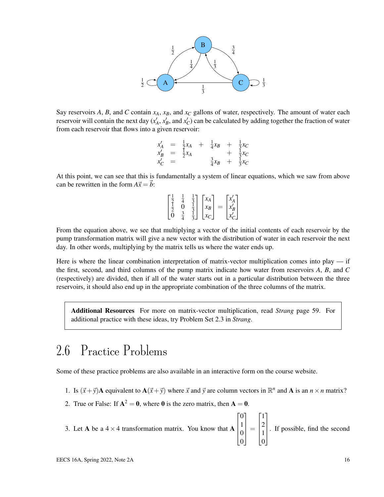

Say reservoirs A, B, and C contain  $x_A$ ,  $x_B$ , and  $x_C$  gallons of water, respectively. The amount of water each reservoir will contain the next day  $(x'_A, x'_B,$  and  $x'_C$ ) can be calculated by adding together the fraction of water from each reservoir that flows into a given reservoir:

$$
\begin{array}{rcl}\nx'_A &=& \frac{1}{2}x_A + \frac{1}{4}x_B + \frac{1}{3}x_C \\
x'_B &=& \frac{1}{2}x_A + \frac{1}{3}x_B + \frac{1}{3}x_C \\
x'_C &=& \frac{3}{4}x_B + \frac{1}{3}x_C\n\end{array}
$$

At this point, we can see that this is fundamentally a system of linear equations, which we saw from above can be rewritten in the form  $A\vec{x} = \vec{b}$ :

$$
\begin{bmatrix} \frac{1}{2} & \frac{1}{4} & \frac{1}{3} \\ \frac{1}{2} & 0 & \frac{1}{3} \\ 0 & \frac{3}{4} & \frac{1}{3} \end{bmatrix} \begin{bmatrix} x_A \\ x_B \\ x_C \end{bmatrix} = \begin{bmatrix} x'_A \\ x'_B \\ x'_C \end{bmatrix}
$$

From the equation above, we see that multiplying a vector of the initial contents of each reservoir by the pump transformation matrix will give a new vector with the distribution of water in each reservoir the next day. In other words, multiplying by the matrix tells us where the water ends up.

Here is where the linear combination interpretation of matrix-vector multiplication comes into play — if the first, second, and third columns of the pump matrix indicate how water from reservoirs *A*, *B*, and *C* (respectively) are divided, then if all of the water starts out in a particular distribution between the three reservoirs, it should also end up in the appropriate combination of the three columns of the matrix.

Additional Resources For more on matrix-vector multiplication, read *Strang* page 59. For additional practice with these ideas, try Problem Set 2.3 in *Strang*.

# 2.6 Practice Problems

Some of these practice problems are also available in an interactive form on the course website.

- 1. Is  $(\vec{x} + \vec{y})\mathbf{A}$  equivalent to  $\mathbf{A}(\vec{x} + \vec{y})$  where  $\vec{x}$  and  $\vec{y}$  are column vectors in  $\mathbb{R}^n$  and  $\mathbf{A}$  is an  $n \times n$  matrix?
- 2. True or False: If  $A^2 = 0$ , where 0 is the zero matrix, then  $A = 0$ .
- 3. Let A be a  $4 \times 4$  transformation matrix. You know that A  $\sqrt{ }$  $\Bigg\}$  $\overline{0}$ 1 0 0 1  $\Bigg\}$ =  $\sqrt{ }$  1 2 1 0 1  $\Bigg\}$ . If possible, find the second